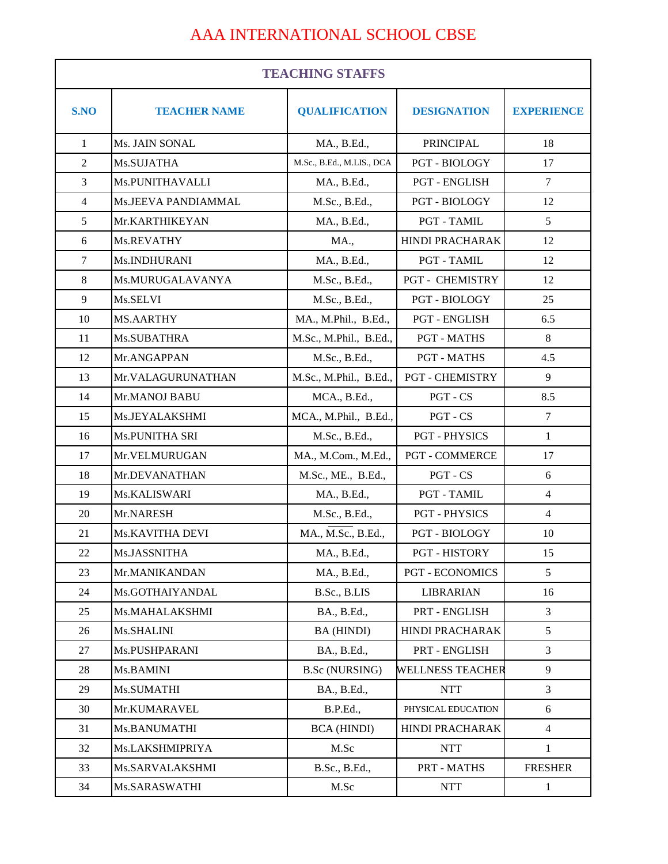## AAA INTERNATIONAL SCHOOL CBSE

| <b>TEACHING STAFFS</b> |                       |                           |                         |                   |
|------------------------|-----------------------|---------------------------|-------------------------|-------------------|
| S.NO                   | <b>TEACHER NAME</b>   | <b>QUALIFICATION</b>      | <b>DESIGNATION</b>      | <b>EXPERIENCE</b> |
| $\mathbf{1}$           | Ms. JAIN SONAL        | MA., B.Ed.,               | <b>PRINCIPAL</b>        | 18                |
| $\overline{2}$         | Ms.SUJATHA            | M.Sc., B.Ed., M.LIS., DCA | <b>PGT - BIOLOGY</b>    | 17                |
| 3                      | Ms.PUNITHAVALLI       | MA., B.Ed.,               | PGT - ENGLISH           | $\tau$            |
| $\overline{4}$         | Ms.JEEVA PANDIAMMAL   | M.Sc., B.Ed.,             | <b>PGT - BIOLOGY</b>    | 12                |
| 5                      | Mr.KARTHIKEYAN        | MA., B.Ed.,               | PGT - TAMIL             | 5                 |
| 6                      | Ms.REVATHY            | <b>MA.,</b>               | <b>HINDI PRACHARAK</b>  | 12                |
| $\tau$                 | Ms.INDHURANI          | MA., B.Ed.,               | PGT - TAMIL             | 12                |
| 8                      | Ms.MURUGALAVANYA      | M.Sc., B.Ed.,             | <b>PGT - CHEMISTRY</b>  | 12                |
| 9                      | Ms.SELVI              | M.Sc., B.Ed.,             | PGT - BIOLOGY           | 25                |
| 10                     | <b>MS.AARTHY</b>      | MA., M.Phil., B.Ed.,      | <b>PGT - ENGLISH</b>    | 6.5               |
| 11                     | Ms.SUBATHRA           | M.Sc., M.Phil., B.Ed.,    | <b>PGT - MATHS</b>      | 8                 |
| 12                     | Mr.ANGAPPAN           | M.Sc., B.Ed.,             | <b>PGT - MATHS</b>      | 4.5               |
| 13                     | Mr.VALAGURUNATHAN     | M.Sc., M.Phil., B.Ed.,    | <b>PGT - CHEMISTRY</b>  | 9                 |
| 14                     | Mr.MANOJ BABU         | MCA., B.Ed.,              | PGT - CS                | 8.5               |
| 15                     | Ms.JEYALAKSHMI        | MCA., M.Phil., B.Ed.,     | PGT - CS                | $\tau$            |
| 16                     | <b>Ms.PUNITHA SRI</b> | M.Sc., B.Ed.,             | <b>PGT - PHYSICS</b>    | $\mathbf{1}$      |
| 17                     | Mr.VELMURUGAN         | MA., M.Com., M.Ed.,       | <b>PGT - COMMERCE</b>   | 17                |
| 18                     | Mr.DEVANATHAN         | M.Sc., ME., B.Ed.,        | PGT - CS                | 6                 |
| 19                     | Ms.KALISWARI          | MA., B.Ed.,               | PGT - TAMIL             | $\overline{4}$    |
| 20                     | Mr.NARESH             | M.Sc., B.Ed.,             | <b>PGT - PHYSICS</b>    | $\overline{4}$    |
| 21                     | Ms.KAVITHA DEVI       | MA., M.Sc., B.Ed.,        | <b>PGT - BIOLOGY</b>    | 10                |
| 22                     | Ms.JASSNITHA          | MA., B.Ed.,               | <b>PGT - HISTORY</b>    | 15                |
| 23                     | Mr.MANIKANDAN         | MA., B.Ed.,               | <b>PGT - ECONOMICS</b>  | 5                 |
| 24                     | Ms.GOTHAIYANDAL       | B.Sc., B.LIS              | <b>LIBRARIAN</b>        | 16                |
| 25                     | Ms.MAHALAKSHMI        | BA., B.Ed.,               | PRT - ENGLISH           | 3                 |
| 26                     | Ms.SHALINI            | BA (HINDI)                | HINDI PRACHARAK         | 5                 |
| 27                     | Ms.PUSHPARANI         | BA., B.Ed.,               | PRT - ENGLISH           | 3                 |
| 28                     | Ms.BAMINI             | <b>B.Sc (NURSING)</b>     | <b>WELLNESS TEACHER</b> | 9                 |
| 29                     | Ms.SUMATHI            | BA., B.Ed.,               | <b>NTT</b>              | 3                 |
| 30                     | Mr.KUMARAVEL          | B.P.Ed.,                  | PHYSICAL EDUCATION      | 6                 |
| 31                     | Ms.BANUMATHI          | <b>BCA (HINDI)</b>        | HINDI PRACHARAK         | $\overline{4}$    |
| 32                     | Ms.LAKSHMIPRIYA       | M.Sc                      | <b>NTT</b>              | $\mathbf{1}$      |
| 33                     | Ms.SARVALAKSHMI       | B.Sc., B.Ed.,             | PRT - MATHS             | <b>FRESHER</b>    |
| 34                     | Ms.SARASWATHI         | M.Sc                      | <b>NTT</b>              | $\mathbf{1}$      |